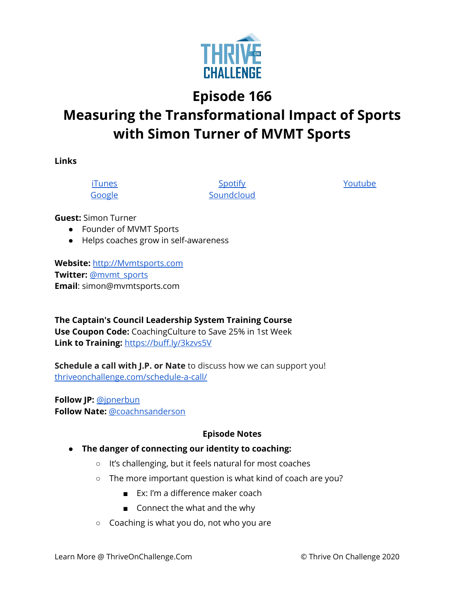

**Episode 166**

## **Measuring the Transformational Impact of Sports with Simon Turner of MVMT Sports**

**Links**

[iTunes](https://podcasts.apple.com/us/podcast/coaching-culture/id1286560192) [Google](https://podcasts.google.com/feed/aHR0cHM6Ly9mZWVkcy5zb3VuZGNsb3VkLmNvbS91c2Vycy9zb3VuZGNsb3VkOnVzZXJzOjQxMDQyNzcvc291bmRzLnJzcw?ved=2ahUKEwiSpYquy9vqAhVbQUEAHSAkC88Q4aUDegQIARAC)

**[Spotify](https://open.spotify.com/show/336Hs8udk8s0yXuK3BzSOq) [Soundcloud](https://soundcloud.com/thriveonchallenge)**  [Youtube](https://www.youtube.com/channel/UC3vIljCBzwHcPyVIx9kiHvw)

**Guest:** Simon Turner

- Founder of MVMT Sports
- Helps coaches grow in self-awareness

**Website:** [http://Mvmtsports.com](http://mvmtsports.com/) **Twitter:** [@mvmt\\_sports](http://twitter.com/mvmt_sports) **Email**: simon@mvmtsports.com

**The Captain's Council Leadership System Training Course Use Coupon Code:** CoachingCulture to Save 25% in 1st Week **Link to Training:** <https://buff.ly/3kzvs5V>

**Schedule a call with J.P. or Nate** to discuss how we can support you! [thriveonchallenge.com/schedule-a-call/](http://thriveonchallenge.com/schedule-a-call/)

**Follow JP:** [@jpnerbun](http://twitter.com/jpnerbun) **Follow Nate:** [@coachnsanderson](http://twitter.com/coachnsanderson)

## **Episode Notes**

- **● The danger of connecting our identity to coaching:**
	- It's challenging, but it feels natural for most coaches
	- The more important question is what kind of coach are you?
		- Ex: I'm a difference maker coach
		- Connect the what and the why
	- Coaching is what you do, not who you are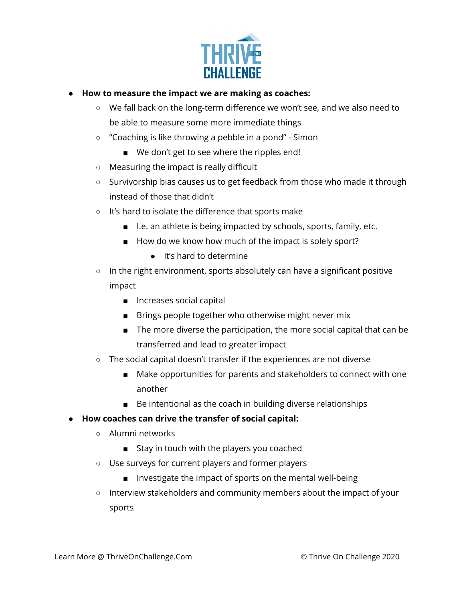

- **● How to measure the impact we are making as coaches:**
	- We fall back on the long-term difference we won't see, and we also need to be able to measure some more immediate things
	- "Coaching is like throwing a pebble in a pond" Simon
		- We don't get to see where the ripples end!
	- Measuring the impact is really difficult
	- Survivorship bias causes us to get feedback from those who made it through instead of those that didn't
	- It's hard to isolate the difference that sports make
		- I.e. an athlete is being impacted by schools, sports, family, etc.
		- How do we know how much of the impact is solely sport?
			- It's hard to determine
	- In the right environment, sports absolutely can have a significant positive impact
		- Increases social capital
		- Brings people together who otherwise might never mix
		- The more diverse the participation, the more social capital that can be transferred and lead to greater impact
	- The social capital doesn't transfer if the experiences are not diverse
		- Make opportunities for parents and stakeholders to connect with one another
		- Be intentional as the coach in building diverse relationships

## **● How coaches can drive the transfer of social capital:**

- Alumni networks
	- Stay in touch with the players you coached
- Use surveys for current players and former players
	- Investigate the impact of sports on the mental well-being
- Interview stakeholders and community members about the impact of your sports